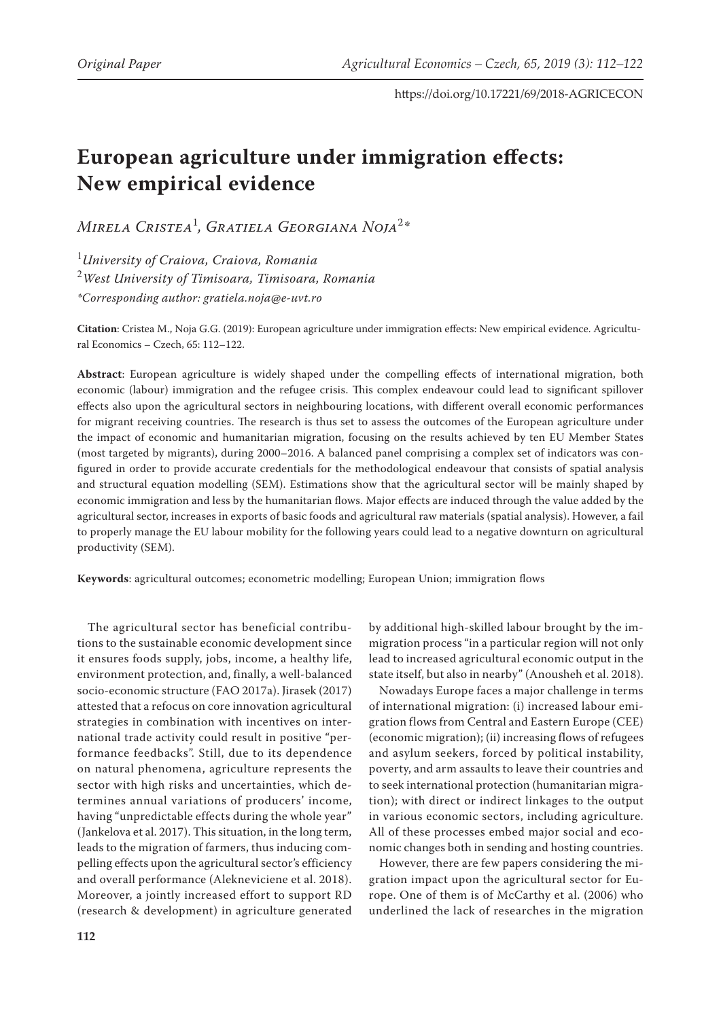# **European agriculture under immigration effects: New empirical evidence**

*Mirela Cristea*<sup>1</sup> *, Gratiela Georgiana Noja*<sup>2</sup> *\**

1 *University of Craiova, Craiova, Romania* 2 *West University of Timisoara, Timisoara, Romania \*Corresponding author: [gratiela.noja@](gratiela.noja)<e-uvt.ro>*

**Citation**: Cristea M., Noja G.G. (2019): European agriculture under immigration effects: New empirical evidence. Agricultural Economics – Czech, 65: 112–122.

**Abstract**: European agriculture is widely shaped under the compelling effects of international migration, both economic (labour) immigration and the refugee crisis. This complex endeavour could lead to significant spillover effects also upon the agricultural sectors in neighbouring locations, with different overall economic performances for migrant receiving countries. The research is thus set to assess the outcomes of the European agriculture under the impact of economic and humanitarian migration, focusing on the results achieved by ten EU Member States (most targeted by migrants), during 2000–2016. A balanced panel comprising a complex set of indicators was configured in order to provide accurate credentials for the methodological endeavour that consists of spatial analysis and structural equation modelling (SEM). Estimations show that the agricultural sector will be mainly shaped by economic immigration and less by the humanitarian flows. Major effects are induced through the value added by the agricultural sector, increases in exports of basic foods and agricultural raw materials (spatial analysis). However, a fail to properly manage the EU labour mobility for the following years could lead to a negative downturn on agricultural productivity (SEM).

**Keywords**: agricultural outcomes; econometric modelling; European Union; immigration flows

The agricultural sector has beneficial contributions to the sustainable economic development since it ensures foods supply, jobs, income, a healthy life, environment protection, and, finally, a well-balanced socio-economic structure (FAO 2017a). Jirasek (2017) attested that a refocus on core innovation agricultural strategies in combination with incentives on international trade activity could result in positive "performance feedbacks". Still, due to its dependence on natural phenomena, agriculture represents the sector with high risks and uncertainties, which determines annual variations of producers' income, having "unpredictable effects during the whole year" (Jankelova et al. 2017). This situation, in the long term, leads to the migration of farmers, thus inducing compelling effects upon the agricultural sector's efficiency and overall performance (Alekneviciene et al. 2018). Moreover, a jointly increased effort to support RD (research & development) in agriculture generated

by additional high-skilled labour brought by the immigration process "in a particular region will not only lead to increased agricultural economic output in the state itself, but also in nearby" (Anousheh et al. 2018).

Nowadays Europe faces a major challenge in terms of international migration: (i) increased labour emigration flows from Central and Eastern Europe (CEE) (economic migration); (ii) increasing flows of refugees and asylum seekers, forced by political instability, poverty, and arm assaults to leave their countries and to seek international protection (humanitarian migration); with direct or indirect linkages to the output in various economic sectors, including agriculture. All of these processes embed major social and economic changes both in sending and hosting countries.

However, there are few papers considering the migration impact upon the agricultural sector for Europe. One of them is of McCarthy et al. (2006) who underlined the lack of researches in the migration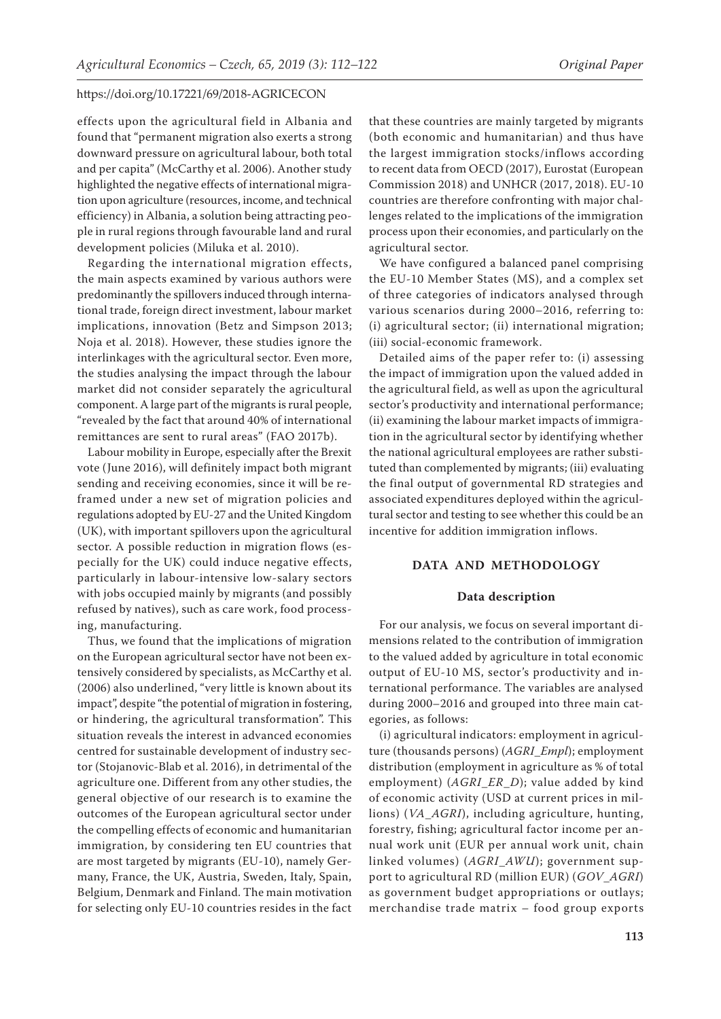effects upon the agricultural field in Albania and found that "permanent migration also exerts a strong downward pressure on agricultural labour, both total and per capita" (McCarthy et al. 2006). Another study highlighted the negative effects of international migration upon agriculture (resources, income, and technical efficiency) in Albania, a solution being attracting people in rural regions through favourable land and rural development policies (Miluka et al. 2010).

Regarding the international migration effects, the main aspects examined by various authors were predominantly the spillovers induced through international trade, foreign direct investment, labour market implications, innovation (Betz and Simpson 2013; Noja et al. 2018). However, these studies ignore the interlinkages with the agricultural sector. Even more, the studies analysing the impact through the labour market did not consider separately the agricultural component. A large part of the migrants is rural people, "revealed by the fact that around 40% of international remittances are sent to rural areas" (FAO 2017b).

Labour mobility in Europe, especially after the Brexit vote (June 2016), will definitely impact both migrant sending and receiving economies, since it will be reframed under a new set of migration policies and regulations adopted by EU-27 and the United Kingdom (UK), with important spillovers upon the agricultural sector. A possible reduction in migration flows (especially for the UK) could induce negative effects, particularly in labour-intensive low-salary sectors with jobs occupied mainly by migrants (and possibly refused by natives), such as care work, food processing, manufacturing.

Thus, we found that the implications of migration on the European agricultural sector have not been extensively considered by specialists, as McCarthy et al. (2006) also underlined, "very little is known about its impact", despite "the potential of migration in fostering, or hindering, the agricultural transformation". This situation reveals the interest in advanced economies centred for sustainable development of industry sector (Stojanovic-Blab et al. 2016), in detrimental of the agriculture one. Different from any other studies, the general objective of our research is to examine the outcomes of the European agricultural sector under the compelling effects of economic and humanitarian immigration, by considering ten EU countries that are most targeted by migrants (EU-10), namely Germany, France, the UK, Austria, Sweden, Italy, Spain, Belgium, Denmark and Finland. The main motivation for selecting only EU-10 countries resides in the fact

that these countries are mainly targeted by migrants (both economic and humanitarian) and thus have the largest immigration stocks/inflows according to recent data from OECD (2017), Eurostat (European Commission 2018) and UNHCR (2017, 2018). EU-10 countries are therefore confronting with major challenges related to the implications of the immigration process upon their economies, and particularly on the agricultural sector.

We have configured a balanced panel comprising the EU-10 Member States (MS), and a complex set of three categories of indicators analysed through various scenarios during 2000–2016, referring to: (i) agricultural sector; (ii) international migration; (iii) social-economic framework.

Detailed aims of the paper refer to: (i) assessing the impact of immigration upon the valued added in the agricultural field, as well as upon the agricultural sector's productivity and international performance; (ii) examining the labour market impacts of immigration in the agricultural sector by identifying whether the national agricultural employees are rather substituted than complemented by migrants; (iii) evaluating the final output of governmental RD strategies and associated expenditures deployed within the agricultural sector and testing to see whether this could be an incentive for addition immigration inflows.

# **DATA AND METHODOLOGY**

#### **Data description**

For our analysis, we focus on several important dimensions related to the contribution of immigration to the valued added by agriculture in total economic output of EU-10 MS, sector's productivity and international performance. The variables are analysed during 2000–2016 and grouped into three main categories, as follows:

(i) agricultural indicators: employment in agriculture (thousands persons) (*AGRI*\_*Empl*); employment distribution (employment in agriculture as % of total employment) (*AGRI*\_*ER*\_*D*); value added by kind of economic activity (USD at current prices in millions) (*VA*\_*AGRI*), including agriculture, hunting, forestry, fishing; agricultural factor income per annual work unit (EUR per annual work unit, chain linked volumes) (*AGRI*\_*AWU*); government support to agricultural RD (million EUR) (*GOV*\_*AGRI*) as government budget appropriations or outlays; merchandise trade matrix – food group exports

**113**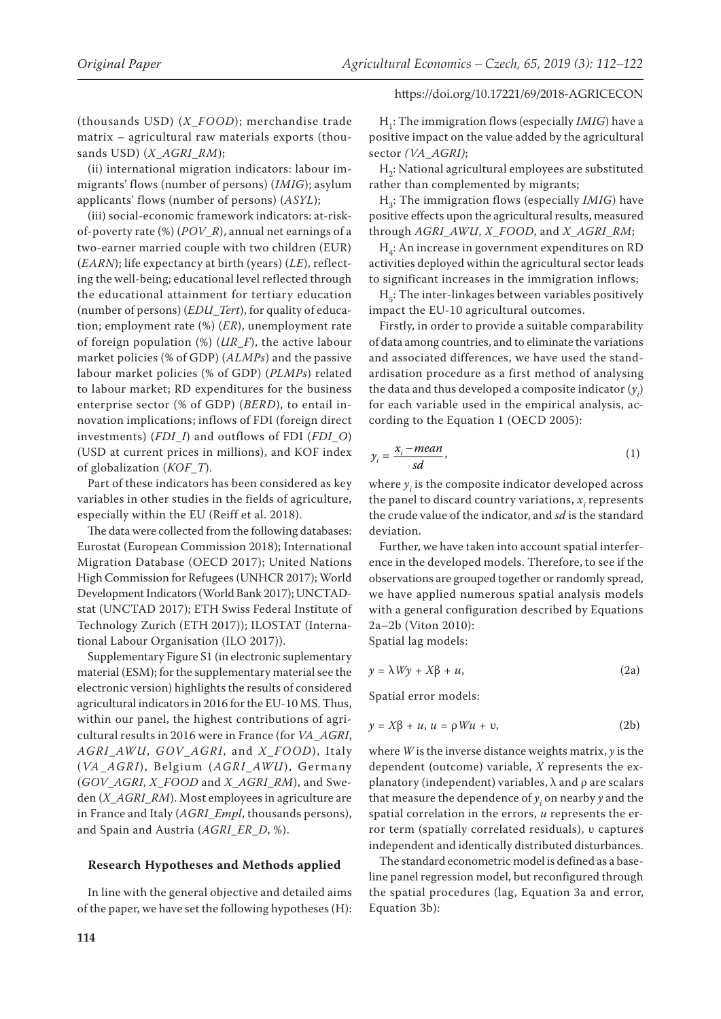(thousands USD) (*X*\_*FOOD*); merchandise trade matrix – agricultural raw materials exports (thousands USD) (*X*\_*AGRI*\_*RM*);

(ii) international migration indicators: labour immigrants' flows (number of persons) (*IMIG*); asylum applicants' flows (number of persons) (*ASYL*);

(iii) social-economic framework indicators: at-riskof-poverty rate (%) (*POV*\_*R*), annual net earnings of a two-earner married couple with two children (EUR) (*EARN*); life expectancy at birth (years) (*LE*), reflecting the well-being; educational level reflected through the educational attainment for tertiary education (number of persons) (*EDU*\_*Tert*), for quality of education; employment rate (%) (*ER*), unemployment rate of foreign population (%) (*UR*\_*F*), the active labour market policies (% of GDP) (*ALMPs*) and the passive labour market policies (% of GDP) (*PLMPs*) related to labour market; RD expenditures for the business enterprise sector (% of GDP) (*BERD*), to entail innovation implications; inflows of FDI (foreign direct investments) (*FDI*\_*I*) and outflows of FDI (*FDI*\_*O*) (USD at current prices in millions), and KOF index of globalization (*KOF*\_*T*).

Part of these indicators has been considered as key variables in other studies in the fields of agriculture, especially within the EU (Reiff et al. 2018).

The data were collected from the following databases: Eurostat (European Commission 2018); International Migration Database (OECD 2017); United Nations High Commission for Refugees (UNHCR 2017); World Development Indicators (World Bank 2017); UNCTADstat (UNCTAD 2017); ETH Swiss Federal Institute of Technology Zurich (ETH 2017)); ILOSTAT (International Labour Organisation (ILO 2017)).

[Supplementary Figure S1 \(in electronic suplementary](https://www.agriculturejournals.cz/publicFiles/278795.pdf)  [material \(ESM\)](https://www.agriculturejournals.cz/publicFiles/278795.pdf)[; for the supplementary material see the](https://www.agriculturejournals.cz/publicFiles/277325.pdf)  [electronic version\)](https://www.agriculturejournals.cz/publicFiles/277325.pdf) highlights the results of considered agricultural indicators in 2016 for the EU-10 MS. Thus, within our panel, the highest contributions of agricultural results in 2016 were in France (for *VA*\_*AGRI*, *AGRI*\_*AWU*, *GOV*\_*AGRI*, and *X*\_*FOOD*), Italy (*VA*\_*AGRI*), Belgium (*AGRI*\_*AWU*), Germany (*GOV*\_*AGRI*, *X*\_*FOOD* and *X*\_*AGRI*\_*RM*), and Sweden (*X*\_*AGRI*\_*RM*). Most employees in agriculture are in France and Italy (*AGRI*\_*Empl*, thousands persons), and Spain and Austria (*AGRI*\_*ER*\_*D*, %).

## **Research Hypotheses and Methods applied**

In line with the general objective and detailed aims of the paper, we have set the following hypotheses (H):

H<sub>1</sub>: The immigration flows (especially *IMIG*) have a positive impact on the value added by the agricultural sector *(VA*\_*AGRI)*;

H<sub>2</sub>: National agricultural employees are substituted rather than complemented by migrants;

H3: The immigration flows (especially *IMIG*) have positive effects upon the agricultural results, measured through *AGRI*\_*AWU*, *X*\_*FOOD*, and *X*\_*AGRI*\_*RM*;

 $H<sub>a</sub>$ : An increase in government expenditures on RD activities deployed within the agricultural sector leads to significant increases in the immigration inflows;

 $H<sub>z</sub>$ : The inter-linkages between variables positively impact the EU-10 agricultural outcomes.

Firstly, in order to provide a suitable comparability of data among countries, and to eliminate the variations and associated differences, we have used the standardisation procedure as a first method of analysing the data and thus developed a composite indicator  $(y_i)$ for each variable used in the empirical analysis, according to the Equation 1 (OECD 2005):

$$
y_i = \frac{x_i - mean}{sd},\tag{1}
$$

where  $y_i$  is the composite indicator developed across the panel to discard country variations,  $x_i$  represents the crude value of the indicator, and *sd* is the standard deviation.

Further, we have taken into account spatial interference in the developed models. Therefore, to see if the observations are grouped together or randomly spread, we have applied numerous spatial analysis models with a general configuration described by Equations 2a–2b (Viton 2010):

Spatial lag models:

$$
y = \lambda W y + X \beta + u, \qquad (2a)
$$

Spatial error models:

$$
y = X\beta + u, u = \rho W u + v,
$$
 (2b)

where *W* is the inverse distance weights matrix, *y* is the dependent (outcome) variable, *X* represents the explanatory (independent) variables,  $\lambda$  and  $\rho$  are scalars that measure the dependence of  $y_i$  on nearby  $y$  and the spatial correlation in the errors, *u* represents the error term (spatially correlated residuals), υ captures independent and identically distributed disturbances.

The standard econometric model is defined as a baseline panel regression model, but reconfigured through the spatial procedures (lag, Equation 3a and error, Equation 3b):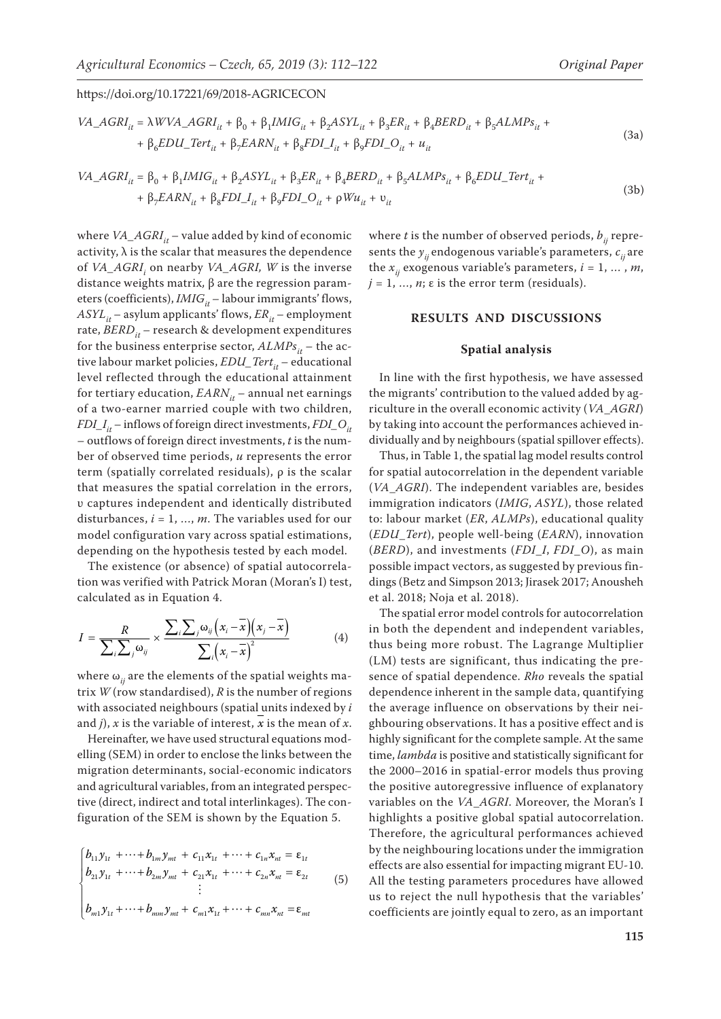$$
VA\_AGRI_{it} = \lambda WVA\_AGRI_{it} + \beta_0 + \beta_1 IMIG_{it} + \beta_2 ASYL_{it} + \beta_3 ER_{it} + \beta_4 BERD_{it} + \beta_5 ALMPs_{it} + + \beta_6 EDU\_Tert_{it} + \beta_7 EARN_{it} + \beta_8 FDI\_I_{it} + \beta_9 FDI\_O_{it} + u_{it}
$$
\n(3a)

$$
VA\_AGRI_{it} = \beta_0 + \beta_1 IMIG_{it} + \beta_2 ASYL_{it} + \beta_3 ER_{it} + \beta_4 BERD_{it} + \beta_5 ALMPs_{it} + \beta_6 EDU\_Tert_{it} ++ \beta_7 EARN_{it} + \beta_8 FDI\_I_{it} + \beta_9 FDI\_O_{it} + \rho Wu_{it} + v_{it}
$$
\n(3b)

where  $VA\_AGRI_{it}$  – value added by kind of economic activity,  $\lambda$  is the scalar that measures the dependence of *VA\_AGRI<sub>i</sub>* on nearby *VA\_AGRI, W* is the inverse distance weights matrix*,* β are the regression parameters (coefficients), *IMIG*<sub>it</sub> – labour immigrants' flows,  $ASYL_{it}$  – asylum applicants' flows,  $ER_{it}$  – employment rate, *BERD*<sub>*it*</sub> – research & development expenditures for the business enterprise sector,  $ALMPs_{it}$  – the active labour market policies, *EDU\_Tert*<sub>it</sub> – educational level reflected through the educational attainment for tertiary education,  $EARN_{it}$  – annual net earnings of a two-earner married couple with two children, *FDI*<sub>\_</sub>*I<sub>it</sub>* – inflows of foreign direct investments, *FDI*\_O<sub>it</sub> – outflows of foreign direct investments, *t* is the number of observed time periods, *u* represents the error term (spatially correlated residuals), ρ is the scalar that measures the spatial correlation in the errors, υ captures independent and identically distributed disturbances, *i* = 1, …, *m*. The variables used for our model configuration vary across spatial estimations, depending on the hypothesis tested by each model.

The existence (or absence) of spatial autocorrelation was verified with Patrick Moran (Moran's I) test, calculated as in Equation 4.

$$
I = \frac{R}{\sum_{i}\sum_{j}\omega_{ij}} \times \frac{\sum_{i}\sum_{j}\omega_{ij}(x_i - \overline{x})(x_j - \overline{x})}{\sum_{i}(x_i - \overline{x})^2}
$$
(4)

where  $\omega_{ii}$  are the elements of the spatial weights matrix *W* (row standardised), *R* is the number of regions with associated neighbours (spatial units indexed by *i* and *j*), *x* is the variable of interest, *x* is the mean of *x*.

Hereinafter, we have used structural equations modelling (SEM) in order to enclose the links between the migration determinants, social-economic indicators and agricultural variables, from an integrated perspective (direct, indirect and total interlinkages). The configuration of the SEM is shown by the Equation 5.

$$
\begin{cases}\nb_{11}y_{1t} + \cdots + b_{1m}y_{mt} + c_{11}x_{1t} + \cdots + c_{1n}x_{nt} = \varepsilon_{1t} \\
b_{21}y_{1t} + \cdots + b_{2m}y_{mt} + c_{21}x_{1t} + \cdots + c_{2n}x_{nt} = \varepsilon_{2t} \\
\vdots \\
b_{m1}y_{1t} + \cdots + b_{mm}y_{mt} + c_{m1}x_{1t} + \cdots + c_{mn}x_{nt} = \varepsilon_{mt}\n\end{cases}
$$
\n(5)

where *t* is the number of observed periods,  $b_{ii}$  represents the  $y_{ij}$  endogenous variable's parameters,  $c_{ij}$  are the  $x_{ii}$  exogenous variable's parameters,  $i = 1, ..., m$ ,  $j = 1, \ldots, n$ ;  $\varepsilon$  is the error term (residuals).

# **RESULTS AND DISCUSSIONS**

# **Spatial analysis**

In line with the first hypothesis, we have assessed the migrants' contribution to the valued added by agriculture in the overall economic activity (*VA*\_*AGRI*) by taking into account the performances achieved individually and by neighbours (spatial spillover effects).

Thus, in Table 1, the spatial lag model results control for spatial autocorrelation in the dependent variable (*VA*\_*AGRI*). The independent variables are, besides immigration indicators (*IMIG*, *ASYL*), those related to: labour market (*ER*, *ALMPs*), educational quality (*EDU*\_*Tert*), people well-being (*EARN*), innovation (*BERD*), and investments (*FDI*\_*I*, *FDI*\_*O*), as main possible impact vectors, as suggested by previous findings (Betz and Simpson 2013; Jirasek 2017; Anousheh et al. 2018; Noja et al. 2018).

The spatial error model controls for autocorrelation in both the dependent and independent variables, thus being more robust. The Lagrange Multiplier (LM) tests are significant, thus indicating the presence of spatial dependence. *Rho* reveals the spatial dependence inherent in the sample data, quantifying the average influence on observations by their neighbouring observations. It has a positive effect and is highly significant for the complete sample. At the same time, *lambda* is positive and statistically significant for the 2000–2016 in spatial-error models thus proving the positive autoregressive influence of explanatory variables on the *VA*\_*AGRI*. Moreover, the Moran's I highlights a positive global spatial autocorrelation. Therefore, the agricultural performances achieved by the neighbouring locations under the immigration effects are also essential for impacting migrant EU-10. All the testing parameters procedures have allowed us to reject the null hypothesis that the variables' coefficients are jointly equal to zero, as an important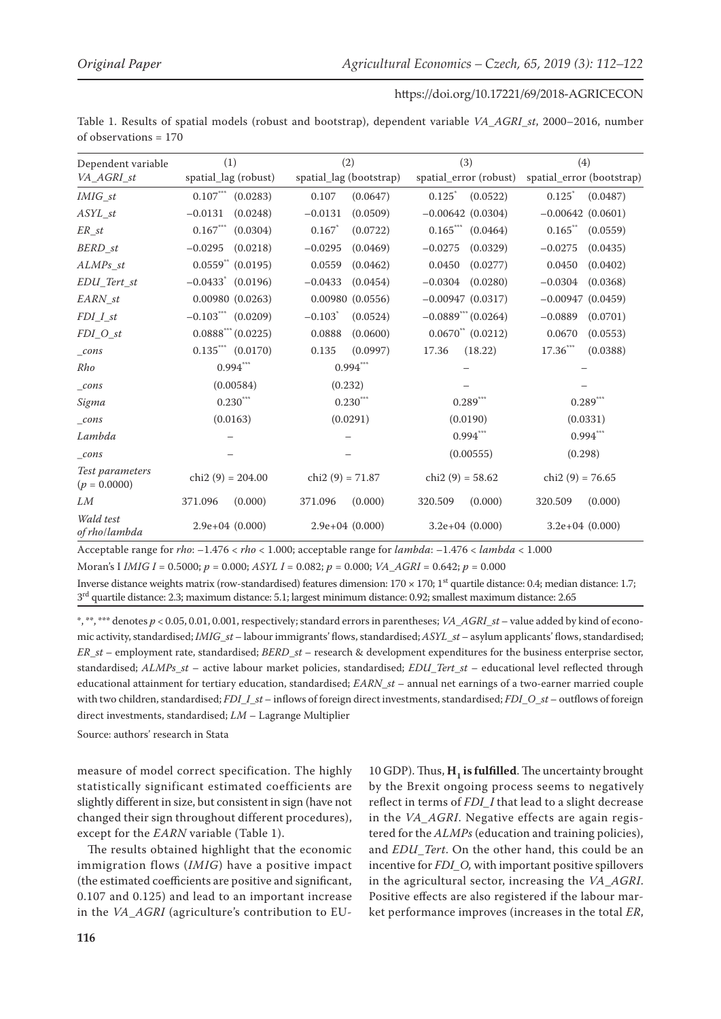Table 1. Results of spatial models (robust and bootstrap), dependent variable *VA*\_*AGRI*\_*st*, 2000–2016, number of observations = 170

| Dependent variable                | (1)                              | (2)                               | (3)                      | (4)                                |
|-----------------------------------|----------------------------------|-----------------------------------|--------------------------|------------------------------------|
| VA_AGRI_st                        | spatial_lag (robust)             | spatial_lag (bootstrap)           | spatial_error (robust)   | spatial_error (bootstrap)          |
| $IMIG\_st$                        | $0.107***$ (0.0283)              | 0.107<br>(0.0647)                 | 0.125<br>(0.0522)        | 0.125<br>(0.0487)                  |
| $ASYL_st$                         | $-0.0131$<br>(0.0248)            | (0.0509)<br>$-0.0131$             | $-0.00642(0.0304)$       | $-0.00642(0.0601)$                 |
| $ER\_st$                          | $0.167***$<br>(0.0304)           | 0.167<br>(0.0722)                 | $0.165***$<br>(0.0464)   | $0.165$ **<br>(0.0559)             |
| BERD_st                           | $-0.0295$<br>(0.0218)            | $-0.0295$<br>(0.0469)             | $-0.0275$<br>(0.0329)    | $-0.0275$<br>(0.0435)              |
| $ALMPs\_st$                       | $0.0559**$ (0.0195)              | 0.0559<br>(0.0462)                | 0.0450<br>(0.0277)       | 0.0450<br>(0.0402)                 |
| $EDU\_Tert\_st$                   | $-0.0433$ (0.0196)               | $-0.0433$<br>(0.0454)             | $-0.0304$<br>(0.0280)    | $-0.0304$<br>(0.0368)              |
| EARN st                           | 0.00980(0.0263)                  | 0.00980(0.0556)                   | $-0.00947$ (0.0317)      | $-0.00947$ (0.0459)                |
| $FDI_I_st$                        | $-0.103$ <sup>***</sup> (0.0209) | $-0.103$ <sup>*</sup><br>(0.0524) | $-0.0889^{***}$ (0.0264) | $-0.0889$<br>(0.0701)              |
| $FDI_0_st$                        | $0.0888$ *** (0.0225)            | 0.0888<br>(0.0600)                | $0.0670**$ (0.0212)      | 0.0670<br>(0.0553)                 |
| cons                              | $0.135***$ $(0.0170)$            | 0.135<br>(0.0997)                 | 17.36<br>(18.22)         | $17.36^{\ast\ast\ast}$<br>(0.0388) |
| Rho                               | $0.994***$                       | $0.994***$                        |                          |                                    |
| cons                              | (0.00584)                        | (0.232)                           |                          |                                    |
| Sigma                             | $0.230***$                       | $0.230***$                        | $0.289***$               | $0.289$ ***                        |
| $_{cons}$                         | (0.0163)                         | (0.0291)                          | (0.0190)                 | (0.0331)                           |
| Lambda                            |                                  |                                   | $0.994***$               | $0.994***$                         |
| cons                              |                                  |                                   | (0.00555)                | (0.298)                            |
| Test parameters<br>$(p = 0.0000)$ | chi2 $(9) = 204.00$              | chi2 $(9) = 71.87$                | chi2 $(9) = 58.62$       | chi2 $(9) = 76.65$                 |
| LM                                | 371.096<br>(0.000)               | (0.000)<br>371.096                | (0.000)<br>320.509       | (0.000)<br>320.509                 |
| Wald test<br>of rho/lambda        | $2.9e+04$ $(0.000)$              | $2.9e+04(0.000)$                  | $3.2e+04$ $(0.000)$      | $3.2e+04$ $(0.000)$                |

Acceptable range for *rho*: –1.476 < *rho* < 1.000; acceptable range for *lambda*: –1.476 < *lambda* < 1.000

Moran's I *IMIG I* = 0.5000; *p* = 0.000; *ASYL I* = 0.082; *p* = 0.000; *VA*\_*AGRI* = 0.642; *p* = 0.000

Inverse distance weights matrix (row-standardised) features dimension:  $170 \times 170$ ; 1<sup>st</sup> quartile distance: 0.4; median distance: 1.7;  $3<sup>rd</sup>$  quartile distance: 2.3; maximum distance: 5.1; largest minimum distance: 0.92; smallest maximum distance: 2.65

\*, \*\*, \*\*\* denotes *p* < 0.05, 0.01, 0.001, respectively; standard errors in parentheses; *VA*\_*AGRI*\_*st* – value added by kind of economic activity, standardised; *IMIG*\_*st* – labour immigrants' flows, standardised; *ASYL*\_*st* – asylum applicants' flows, standardised; *ER*\_*st* – employment rate, standardised; *BERD*\_*st* – research & development expenditures for the business enterprise sector, standardised; *ALMPs*\_*st* – active labour market policies, standardised; *EDU*\_*Tert*\_*st* – educational level reflected through educational attainment for tertiary education, standardised; *EARN*\_*st* – annual net earnings of a two-earner married couple with two children, standardised; *FDI*\_*I*\_*st* – inflows of foreign direct investments, standardised; *FDI*\_*O*\_*st* – outflows of foreign direct investments, standardised; *LM* – Lagrange Multiplier

Source: authors' research in Stata

measure of model correct specification. The highly statistically significant estimated coefficients are slightly different in size, but consistent in sign (have not changed their sign throughout different procedures), except for the *EARN* variable (Table 1).

The results obtained highlight that the economic immigration flows (*IMIG*) have a positive impact (the estimated coefficients are positive and significant, 0.107 and 0.125) and lead to an important increase in the *VA*\_*AGRI* (agriculture's contribution to EU- 10 GDP). Thus, **H<sub>1</sub>** is fulfilled. The uncertainty brought by the Brexit ongoing process seems to negatively reflect in terms of *FDI\_I* that lead to a slight decrease in the *VA\_AGRI*. Negative effects are again registered for the *ALMPs* (education and training policies), and *EDU*\_*Tert*. On the other hand, this could be an incentive for *FDI\_O,* with important positive spillovers in the agricultural sector, increasing the *VA*\_*AGRI*. Positive effects are also registered if the labour market performance improves (increases in the total *ER*,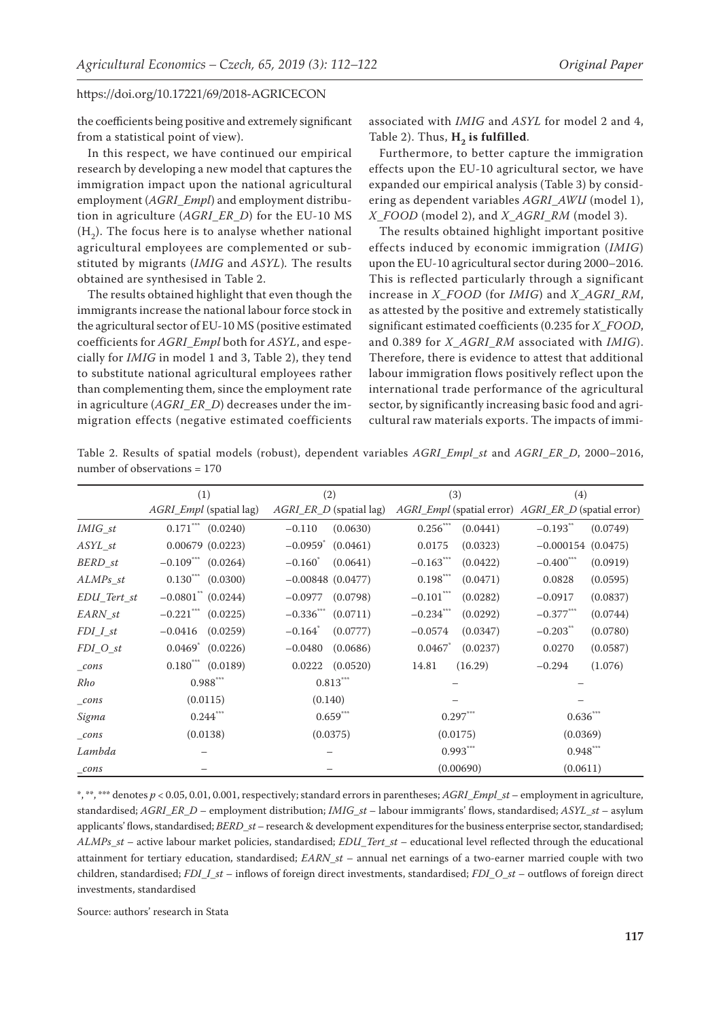the coefficients being positive and extremely significant from a statistical point of view).

In this respect, we have continued our empirical research by developing a new model that captures the immigration impact upon the national agricultural employment (*AGRI*\_*Empl*) and employment distribution in agriculture (*AGRI*\_*ER*\_*D*) for the EU-10 MS  $(H<sub>2</sub>)$ . The focus here is to analyse whether national agricultural employees are complemented or substituted by migrants (*IMIG* and *ASYL*)*.* The results obtained are synthesised in Table 2.

The results obtained highlight that even though the immigrants increase the national labour force stock in the agricultural sector of EU-10 MS (positive estimated coefficients for *AGRI*\_*Empl* both for *ASYL*, and especially for *IMIG* in model 1 and 3, Table 2), they tend to substitute national agricultural employees rather than complementing them, since the employment rate in agriculture (*AGRI*\_*ER*\_*D*) decreases under the immigration effects (negative estimated coefficients

associated with *IMIG* and *ASYL* for model 2 and 4, Table 2). Thus,  $H_2$  is fulfilled.

Furthermore, to better capture the immigration effects upon the EU-10 agricultural sector, we have expanded our empirical analysis (Table 3) by considering as dependent variables *AGRI*\_*AWU* (model 1), *X*\_*FOOD* (model 2), and *X*\_*AGRI*\_*RM* (model 3).

The results obtained highlight important positive effects induced by economic immigration (*IMIG*) upon the EU-10 agricultural sector during 2000–2016. This is reflected particularly through a significant increase in *X*\_*FOOD* (for *IMIG*) and *X*\_*AGRI*\_*RM*, as attested by the positive and extremely statistically significant estimated coefficients (0.235 for *X*\_*FOOD*, and 0.389 for *X*\_*AGRI*\_*RM* associated with *IMIG*). Therefore, there is evidence to attest that additional labour immigration flows positively reflect upon the international trade performance of the agricultural sector, by significantly increasing basic food and agricultural raw materials exports. The impacts of immi-

Table 2. Results of spatial models (robust), dependent variables *AGRI*\_*Empl*\_*st* and *AGRI*\_*ER*\_*D*, 2000–2016, number of observations = 170

|                | (1)                                | (2)                                 | (3)                      | (4)                                                 |  |
|----------------|------------------------------------|-------------------------------------|--------------------------|-----------------------------------------------------|--|
|                | AGRI_Empl (spatial lag)            | AGRI_ER_D (spatial lag)             |                          | AGRI_Empl (spatial error) AGRI_ER_D (spatial error) |  |
| <i>IMIG</i> st | $0.171$ (0.0240)                   | (0.0630)<br>$-0.110$                | $0.256$ ***<br>(0.0441)  | $-0.193$ **<br>(0.0749)                             |  |
| ASYL st        | $0.00679$ $(0.0223)$               | $-0.0959$ <sup>*</sup><br>(0.0461)  | 0.0175<br>(0.0323)       | $-0.000154$ (0.0475)                                |  |
| BERD st        | $-0.109$ <sup>***</sup> (0.0264)   | $-0.160^{\degree}$<br>(0.0641)      | $-0.163$<br>(0.0422)     | $-0.400$ ***<br>(0.0919)                            |  |
| ALMPs st       | $0.130***$ $(0.0300)$              | $-0.00848$ (0.0477)                 | $0.198***$<br>(0.0471)   | (0.0595)<br>0.0828                                  |  |
| EDU Tert st    | $-0.0801$ <sup>**</sup> $(0.0244)$ | (0.0798)<br>$-0.0977$               | $-0.101$ ***<br>(0.0282) | $-0.0917$<br>(0.0837)                               |  |
| EARN st        | $-0.221$ (0.0225)                  | $-0.336$ <sup>***</sup><br>(0.0711) | $-0.234$ ***<br>(0.0292) | $-0.377$ ***<br>(0.0744)                            |  |
| $FDI_I_st$     | $-0.0416$ $(0.0259)$               | $-0.164$ <sup>*</sup><br>(0.0777)   | $-0.0574$<br>(0.0347)    | $-0.203$ **<br>(0.0780)                             |  |
| $FDI_0_st$     | $0.0469^*$ $(0.0226)$              | (0.0686)<br>$-0.0480$               | 0.0467<br>(0.0237)       | 0.0270<br>(0.0587)                                  |  |
| $_{cons}$      | $0.180^{***}$ (0.0189)             | 0.0222<br>(0.0520)                  | 14.81<br>(16.29)         | $-0.294$<br>(1.076)                                 |  |
| Rho            | $0.988***$                         | $0.813***$                          |                          |                                                     |  |
| $_{cons}$      | (0.0115)                           | (0.140)                             |                          |                                                     |  |
| Sigma          | $0.244$ ***                        | $0.659***$                          | $0.297***$               | $0.636***$                                          |  |
| $_{cons}$      | (0.0138)                           | (0.0375)                            | (0.0175)                 | (0.0369)                                            |  |
| Lambda         |                                    |                                     | $0.993***$               | $0.948***$                                          |  |
| $_{cons}$      |                                    |                                     | (0.00690)                | (0.0611)                                            |  |

\*, \*\*, \*\*\* denotes *p* < 0.05, 0.01, 0.001, respectively; standard errors in parentheses; *AGRI*\_*Empl*\_*st* – employment in agriculture, standardised; *AGRI*\_*ER*\_*D* – employment distribution; *IMIG*\_*st* – labour immigrants' flows, standardised; *ASYL*\_*st* – asylum applicants' flows, standardised; *BERD*\_*st* – research & development expenditures for the business enterprise sector, standardised; *ALMPs*\_*st* – active labour market policies, standardised; *EDU*\_*Tert*\_*st* – educational level reflected through the educational attainment for tertiary education, standardised; *EARN*\_*st* – annual net earnings of a two-earner married couple with two children, standardised; *FDI*\_*I*\_*st* – inflows of foreign direct investments, standardised; *FDI*\_*O*\_*st* – outflows of foreign direct investments, standardised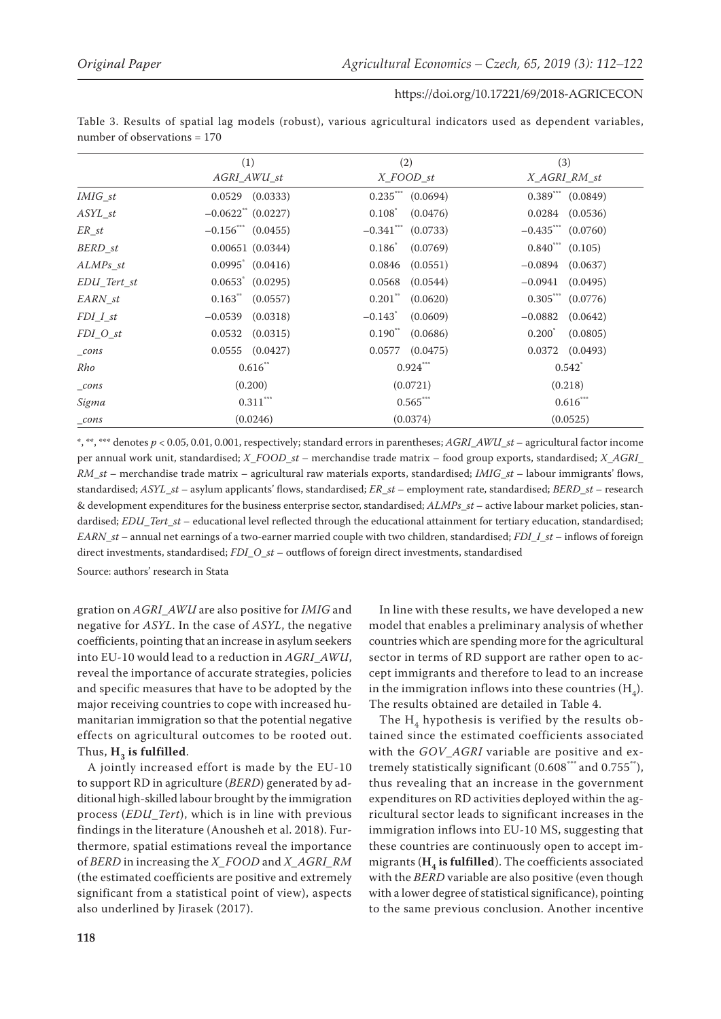|  |                                |  |  | Table 3. Results of spatial lag models (robust), various agricultural indicators used as dependent variables, |  |  |
|--|--------------------------------|--|--|---------------------------------------------------------------------------------------------------------------|--|--|
|  | number of observations $= 170$ |  |  |                                                                                                               |  |  |

|                    | (1)                                | (2)                               | (3)                     |
|--------------------|------------------------------------|-----------------------------------|-------------------------|
|                    | AGRI_AWU_st                        | X FOOD st                         | X_AGRI_RM_st            |
| IMIG st            | $0.0529$ $(0.0333)$                | $0.235***$ $(0.0694)$             | $0.389^{***}$ (0.0849)  |
| ASYL st            | $-0.0622$ <sup>**</sup> $(0.0227)$ | $0.108^{\degree}$<br>(0.0476)     | 0.0284<br>(0.0536)      |
| ER st              | $-0.156$ (0.0455)                  | $-0.341$ ***<br>(0.0733)          | $-0.435$ *** (0.0760)   |
| BERD st            | 0.00651(0.0344)                    | $0.186^*$<br>(0.0769)             | $0.840^{***}$ $(0.105)$ |
| $ALMPs\_st$        | $0.0995^*$ $(0.0416)$              | 0.0846<br>(0.0551)                | (0.0637)<br>$-0.0894$   |
| EDU Tert st        | $0.0653^*$ $(0.0295)$              | 0.0568<br>(0.0544)                | $-0.0941$<br>(0.0495)   |
| EARN st            | 0.163<br>(0.0557)                  | $0.201$ **<br>(0.0620)            | $0.305***$<br>(0.0776)  |
| $FDI_I_st$         | $-0.0539$<br>(0.0318)              | $-0.143$ <sup>*</sup><br>(0.0609) | $-0.0882$<br>(0.0642)   |
| $FDI_0_st$         | 0.0532<br>(0.0315)                 | $0.190^{**}$<br>(0.0686)          | $0.200^*$<br>(0.0805)   |
| $_{cons}$          | 0.0555<br>(0.0427)                 | 0.0577<br>(0.0475)                | 0.0372<br>(0.0493)      |
| Rho                | $0.616$ "                          | $0.924$ ***                       | $0.542^*$               |
| $_{cons}$          | (0.200)                            | (0.0721)                          | (0.218)                 |
| Sigma              | $0.311***$                         | $0.565***$                        | $0.616***$              |
| $\frac{\cos x}{2}$ | (0.0246)                           | (0.0374)                          | (0.0525)                |

\*, \*\*, \*\*\* denotes *p* < 0.05, 0.01, 0.001, respectively; standard errors in parentheses; *AGRI*\_*AWU*\_*st* – agricultural factor income per annual work unit, standardised; *X*\_*FOOD*\_*st* – merchandise trade matrix – food group exports, standardised; *X*\_*AGRI*\_ *RM*\_*st* – merchandise trade matrix – agricultural raw materials exports, standardised; *IMIG*\_*st* – labour immigrants' flows, standardised; *ASYL*\_*st* – asylum applicants' flows, standardised; *ER*\_*st* – employment rate, standardised; *BERD*\_*st* – research & development expenditures for the business enterprise sector, standardised; *ALMPs*\_*st* – active labour market policies, standardised; *EDU*\_*Tert*\_*st* – educational level reflected through the educational attainment for tertiary education, standardised; *EARN*\_*st* – annual net earnings of a two-earner married couple with two children, standardised; *FDI*\_*I*\_*st* – inflows of foreign direct investments, standardised; *FDI*\_*O*\_*st* – outflows of foreign direct investments, standardised

Source: authors' research in Stata

gration on *AGRI*\_*AWU* are also positive for *IMIG* and negative for *ASYL*. In the case of *ASYL*, the negative coefficients, pointing that an increase in asylum seekers into EU-10 would lead to a reduction in *AGRI*\_*AWU*, reveal the importance of accurate strategies, policies and specific measures that have to be adopted by the major receiving countries to cope with increased humanitarian immigration so that the potential negative effects on agricultural outcomes to be rooted out. Thus, H<sub>2</sub> is fulfilled.

A jointly increased effort is made by the EU-10 to support RD in agriculture (*BERD*) generated by additional high-skilled labour brought by the immigration process (*EDU*\_*Tert*), which is in line with previous findings in the literature (Anousheh et al. 2018). Furthermore, spatial estimations reveal the importance of *BERD* in increasing the *X\_FOOD* and *X\_AGRI\_RM* (the estimated coefficients are positive and extremely significant from a statistical point of view), aspects also underlined by Jirasek (2017).

In line with these results, we have developed a new model that enables a preliminary analysis of whether countries which are spending more for the agricultural sector in terms of RD support are rather open to accept immigrants and therefore to lead to an increase in the immigration inflows into these countries  $(H_4)$ . The results obtained are detailed in Table 4.

The  $H_4$  hypothesis is verified by the results obtained since the estimated coefficients associated with the *GOV*\_*AGRI* variable are positive and extremely statistically significant (0.608\*\*\* and 0.755\*\*), thus revealing that an increase in the government expenditures on RD activities deployed within the agricultural sector leads to significant increases in the immigration inflows into EU-10 MS, suggesting that these countries are continuously open to accept immigrants  $(H_4)$  is fulfilled). The coefficients associated with the *BERD* variable are also positive (even though with a lower degree of statistical significance), pointing to the same previous conclusion. Another incentive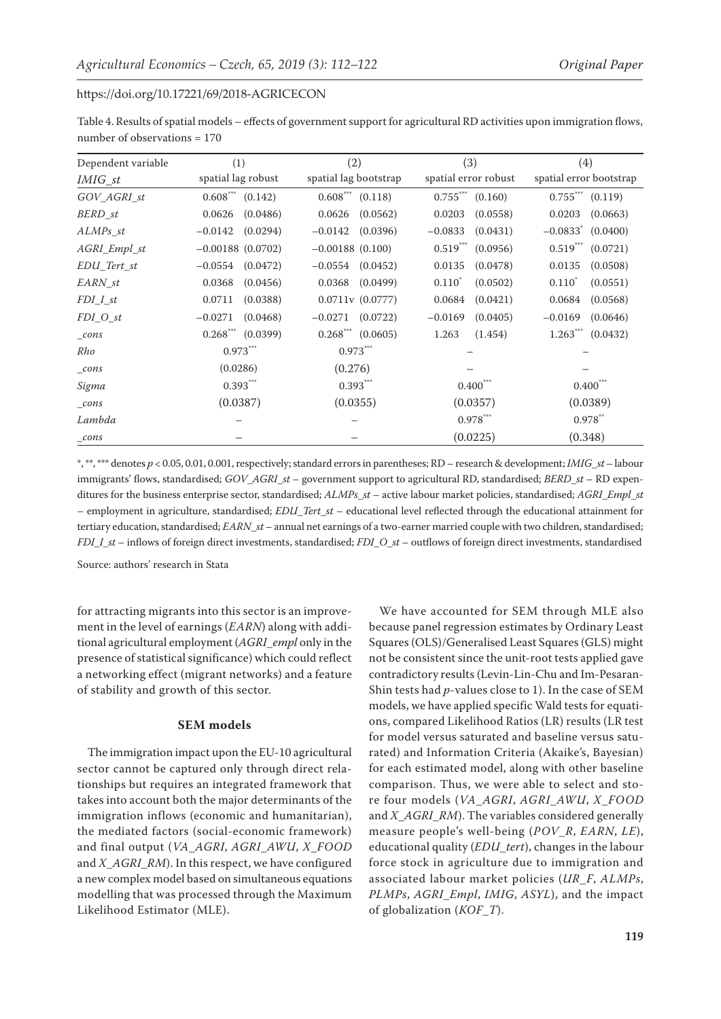Table 4. Results of spatial models – effects of government support for agricultural RD activities upon immigration flows, number of observations = 170

| Dependent variable  | (1)                               | (2)                               | (3)                    | (4)                     |  |
|---------------------|-----------------------------------|-----------------------------------|------------------------|-------------------------|--|
| <i>IMIG_st</i>      | spatial lag robust                | spatial lag bootstrap             | spatial error robust   | spatial error bootstrap |  |
| GOV_AGRI_st         | $0.608^{***}$ (0.142)             | $0.608^{***}$ (0.118)             | $0.755***$<br>(0.160)  | $0.755***$ $(0.119)$    |  |
| BERD_st             | (0.0486)<br>0.0626                | (0.0562)<br>0.0626                | 0.0203<br>(0.0558)     | 0.0203<br>(0.0663)      |  |
| $ALMPs\_st$         | $-0.0142$<br>(0.0294)             | $-0.0142$<br>(0.0396)             | $-0.0833$<br>(0.0431)  | $-0.0833$ (0.0400)      |  |
| AGRI_Empl_st        | $-0.00188$ (0.0702)               | $-0.00188$ (0.100)                | $0.519***$<br>(0.0956) | $0.519***$<br>(0.0721)  |  |
| $EDU_{\_Tert_{st}}$ | (0.0472)<br>$-0.0554$             | $-0.0554$ $(0.0452)$              | 0.0135<br>(0.0478)     | 0.0135<br>(0.0508)      |  |
| EARN st             | 0.0368<br>(0.0456)                | $0.0368$ $(0.0499)$               | $0.110^*$<br>(0.0502)  | $0.110^{*}$<br>(0.0551) |  |
| $FDI_I_st$          | 0.0711<br>(0.0388)                | 0.0711v(0.0777)                   | 0.0684<br>(0.0421)     | 0.0684<br>(0.0568)      |  |
| FDI O st            | $-0.0271$<br>(0.0468)             | $-0.0271$<br>(0.0722)             | $-0.0169$<br>(0.0405)  | $-0.0169$<br>(0.0646)   |  |
| $_{cons}$           | $0.268$ <sup>***</sup> $(0.0399)$ | $0.268$ <sup>***</sup> $(0.0605)$ | 1.263<br>(1.454)       | $1.263***$<br>(0.0432)  |  |
| Rho                 | $0.973***$                        | $0.973***$                        |                        |                         |  |
| $_{cons}$           | (0.0286)                          | (0.276)                           |                        |                         |  |
| Sigma               | $0.393***$                        | $0.393***$                        | $0.400***$             | $0.400$ ***             |  |
| $_{cons}$           | (0.0387)                          | (0.0355)                          | (0.0357)               | (0.0389)                |  |
| Lambda              |                                   |                                   | $0.978$ ***            | $0.978$ **              |  |
| $\_cons$            |                                   |                                   | (0.0225)               | (0.348)                 |  |

\*, \*\*, \*\*\* denotes *p* < 0.05, 0.01, 0.001, respectively; standard errors in parentheses; RD – research & development; *IMIG*\_*st* – labour immigrants' flows, standardised; *GOV*\_*AGRI*\_*st* – government support to agricultural RD, standardised; *BERD*\_*st* – RD expenditures for the business enterprise sector, standardised; *ALMPs*\_*st* – active labour market policies, standardised; *AGRI*\_*Empl*\_*st* – employment in agriculture, standardised; *EDU*\_*Tert*\_*st* – educational level reflected through the educational attainment for tertiary education, standardised; *EARN*\_*st* – annual net earnings of a two-earner married couple with two children, standardised; *FDI*\_*I*\_*st* – inflows of foreign direct investments, standardised; *FDI*\_*O*\_*st* – outflows of foreign direct investments, standardised

Source: authors' research in Stata

for attracting migrants into this sector is an improvement in the level of earnings (*EARN*) along with additional agricultural employment (*AGRI*\_*empl* only in the presence of statistical significance) which could reflect a networking effect (migrant networks) and a feature of stability and growth of this sector.

## **SEM models**

The immigration impact upon the EU-10 agricultural sector cannot be captured only through direct relationships but requires an integrated framework that takes into account both the major determinants of the immigration inflows (economic and humanitarian), the mediated factors (social-economic framework) and final output (*VA*\_*AGRI*, *AGRI*\_*AWU*, *X*\_*FOOD* and *X*\_*AGRI*\_*RM*). In this respect, we have configured a new complex model based on simultaneous equations modelling that was processed through the Maximum Likelihood Estimator (MLE).

We have accounted for SEM through MLE also because panel regression estimates by Ordinary Least Squares (OLS)/Generalised Least Squares (GLS) might not be consistent since the unit-root tests applied gave contradictory results (Levin-Lin-Chu and Im-Pesaran-Shin tests had *p*-values close to 1). In the case of SEM models, we have applied specific Wald tests for equations, compared Likelihood Ratios (LR) results (LR test for model versus saturated and baseline versus saturated) and Information Criteria (Akaike's, Bayesian) for each estimated model, along with other baseline comparison. Thus, we were able to select and store four models (*VA*\_*AGRI*, *AGRI*\_*AWU*, *X*\_*FOOD* and *X*\_*AGRI*\_*RM*). The variables considered generally measure people's well-being (*POV*\_*R*, *EARN*, *LE*), educational quality (*EDU*\_*tert*), changes in the labour force stock in agriculture due to immigration and associated labour market policies (*UR*\_*F*, *ALMPs*, *PLMPs*, *AGRI*\_*Empl*, *IMIG*, *ASYL*), and the impact of globalization (*KOF*\_*T*).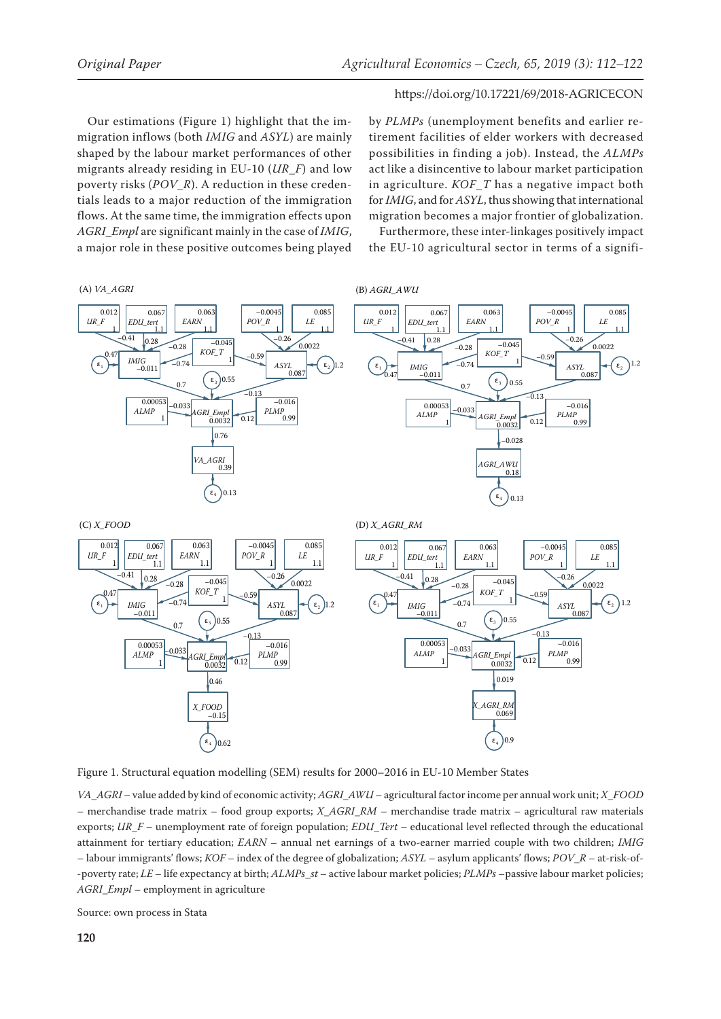Our estimations (Figure 1) highlight that the immigration inflows (both *IMIG* and *ASYL*) are mainly shaped by the labour market performances of other migrants already residing in EU-10 (*UR*\_*F*) and low poverty risks (*POV*\_*R*). A reduction in these credentials leads to a major reduction of the immigration flows. At the same time, the immigration effects upon *AGRI*\_*Empl* are significant mainly in the case of *IMIG*, a major role in these positive outcomes being played

by *PLMPs* (unemployment benefits and earlier retirement facilities of elder workers with decreased possibilities in finding a job). Instead, the *ALMPs* act like a disincentive to labour market participation in agriculture. *KOF*\_*T* has a negative impact both for *IMIG*, and for *ASYL*, thus showing that international migration becomes a major frontier of globalization.

Furthermore, these inter-linkages positively impact the EU-10 agricultural sector in terms of a signifi-



Figure 1. Structural equation modelling (SEM) results for 2000–2016 in EU-10 Member States

*VA*\_*AGRI* – value added by kind of economic activity; *AGRI*\_*AWU* – agricultural factor income per annual work unit; *X*\_*FOOD* – merchandise trade matrix – food group exports; *X*\_*AGRI*\_*RM* – merchandise trade matrix – agricultural raw materials exports; *UR*\_*F* – unemployment rate of foreign population; *EDU*\_*Tert* – educational level reflected through the educational attainment for tertiary education; *EARN* – annual net earnings of a two-earner married couple with two children; *IMIG* – labour immigrants' flows; *KOF* – index of the degree of globalization; *ASYL* – asylum applicants' flows; *POV*\_*R* – at-risk-of- -poverty rate; *LE* – life expectancy at birth; *ALMPs*\_*st* – active labour market policies; *PLMPs* –passive labour market policies; *AGRI*\_*Empl* – employment in agriculture

Source: own process in Stata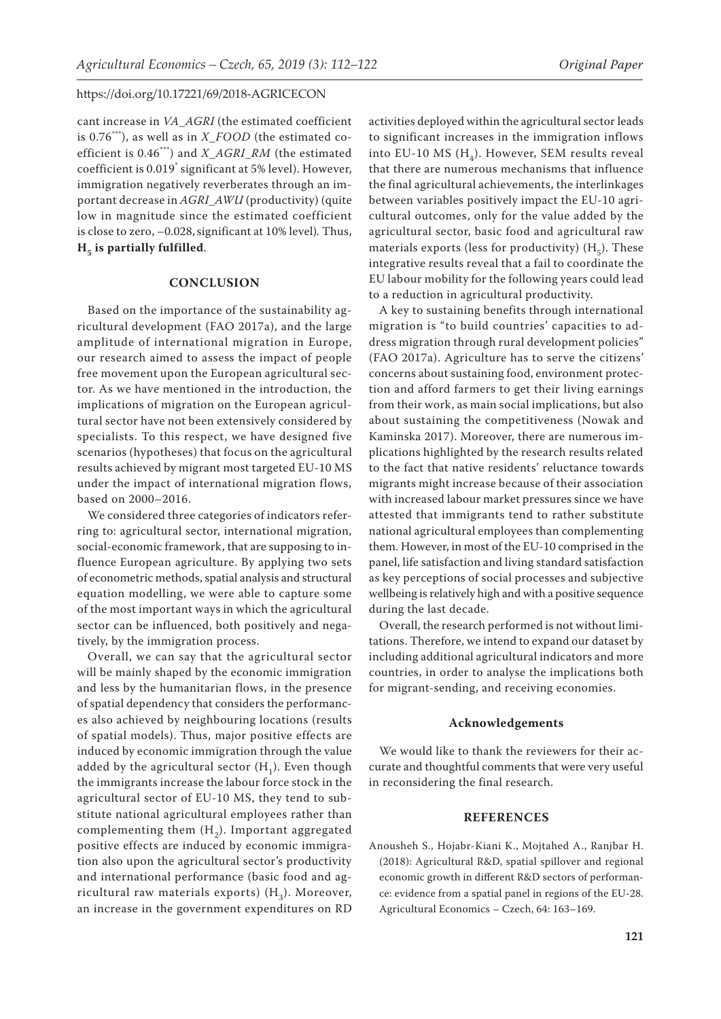cant increase in *VA*\_*AGRI* (the estimated coefficient is 0.76\*\*\*), as well as in *X*\_*FOOD* (the estimated coefficient is 0.46\*\*\*) and *X*\_*AGRI*\_*RM* (the estimated coefficient is 0.019\* significant at 5% level). However, immigration negatively reverberates through an important decrease in *AGRI*\_*AWU* (productivity) (quite low in magnitude since the estimated coefficient is close to zero, –0.028,significant at 10% level)*.* Thus,  $H<sub>5</sub>$  is partially fulfilled.

## **CONCLUSION**

Based on the importance of the sustainability agricultural development (FAO 2017a), and the large amplitude of international migration in Europe, our research aimed to assess the impact of people free movement upon the European agricultural sector. As we have mentioned in the introduction, the implications of migration on the European agricultural sector have not been extensively considered by specialists. To this respect, we have designed five scenarios (hypotheses) that focus on the agricultural results achieved by migrant most targeted EU-10 MS under the impact of international migration flows, based on 2000–2016.

We considered three categories of indicators referring to: agricultural sector, international migration, social-economic framework, that are supposing to influence European agriculture. By applying two sets of econometric methods, spatial analysis and structural equation modelling, we were able to capture some of the most important ways in which the agricultural sector can be influenced, both positively and negatively, by the immigration process.

Overall, we can say that the agricultural sector will be mainly shaped by the economic immigration and less by the humanitarian flows, in the presence of spatial dependency that considers the performances also achieved by neighbouring locations (results of spatial models). Thus, major positive effects are induced by economic immigration through the value added by the agricultural sector  $(H_1)$ . Even though the immigrants increase the labour force stock in the agricultural sector of EU-10 MS, they tend to substitute national agricultural employees rather than complementing them  $(H<sub>2</sub>)$ . Important aggregated positive effects are induced by economic immigration also upon the agricultural sector's productivity and international performance (basic food and agricultural raw materials exports)  $(H_3)$ . Moreover, an increase in the government expenditures on RD

activities deployed within the agricultural sector leads to significant increases in the immigration inflows into EU-10 MS  $(H_4)$ . However, SEM results reveal that there are numerous mechanisms that influence the final agricultural achievements, the interlinkages between variables positively impact the EU-10 agricultural outcomes, only for the value added by the agricultural sector, basic food and agricultural raw materials exports (less for productivity)  $(H<sub>z</sub>)$ . These integrative results reveal that a fail to coordinate the EU labour mobility for the following years could lead to a reduction in agricultural productivity.

A key to sustaining benefits through international migration is "to build countries' capacities to address migration through rural development policies" (FAO 2017a). Agriculture has to serve the citizens' concerns about sustaining food, environment protection and afford farmers to get their living earnings from their work, as main social implications, but also about sustaining the competitiveness (Nowak and Kaminska 2017). Moreover, there are numerous implications highlighted by the research results related to the fact that native residents' reluctance towards migrants might increase because of their association with increased labour market pressures since we have attested that immigrants tend to rather substitute national agricultural employees than complementing them. However, in most of the EU-10 comprised in the panel, life satisfaction and living standard satisfaction as key perceptions of social processes and subjective wellbeing is relatively high and with a positive sequence during the last decade.

Overall, the research performed is not without limitations. Therefore, we intend to expand our dataset by including additional agricultural indicators and more countries, in order to analyse the implications both for migrant-sending, and receiving economies.

# **Acknowledgements**

We would like to thank the reviewers for their accurate and thoughtful comments that were very useful in reconsidering the final research.

## **REFERENCES**

Anousheh S., Hojabr-Kiani K., Mojtahed A., Ranjbar H. (2018): Agricultural R&D, spatial spillover and regional economic growth in different R&D sectors of performance: evidence from a spatial panel in regions of the EU-28. Agricultural Economics – Czech, 64: 163–169.